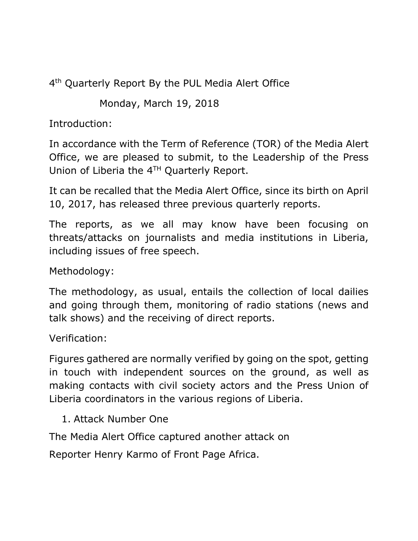4<sup>th</sup> Quarterly Report By the PUL Media Alert Office

Monday, March 19, 2018

Introduction:

In accordance with the Term of Reference (TOR) of the Media Alert Office, we are pleased to submit, to the Leadership of the Press Union of Liberia the 4<sup>TH</sup> Quarterly Report.

It can be recalled that the Media Alert Office, since its birth on April 10, 2017, has released three previous quarterly reports.

The reports, as we all may know have been focusing on threats/attacks on journalists and media institutions in Liberia, including issues of free speech.

Methodology:

The methodology, as usual, entails the collection of local dailies and going through them, monitoring of radio stations (news and talk shows) and the receiving of direct reports.

Verification:

Figures gathered are normally verified by going on the spot, getting in touch with independent sources on the ground, as well as making contacts with civil society actors and the Press Union of Liberia coordinators in the various regions of Liberia.

1. Attack Number One

The Media Alert Office captured another attack on

Reporter Henry Karmo of Front Page Africa.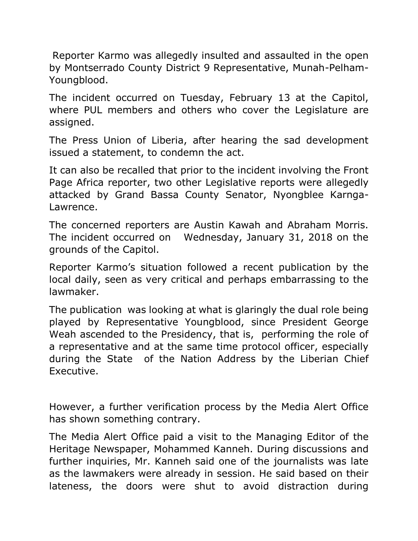Reporter Karmo was allegedly insulted and assaulted in the open by Montserrado County District 9 Representative, Munah-Pelham-Youngblood.

The incident occurred on Tuesday, February 13 at the Capitol, where PUL members and others who cover the Legislature are assigned.

The Press Union of Liberia, after hearing the sad development issued a statement, to condemn the act.

It can also be recalled that prior to the incident involving the Front Page Africa reporter, two other Legislative reports were allegedly attacked by Grand Bassa County Senator, Nyongblee Karnga-Lawrence.

The concerned reporters are Austin Kawah and Abraham Morris. The incident occurred on Wednesday, January 31, 2018 on the grounds of the Capitol.

Reporter Karmo's situation followed a recent publication by the local daily, seen as very critical and perhaps embarrassing to the lawmaker.

The publication was looking at what is glaringly the dual role being played by Representative Youngblood, since President George Weah ascended to the Presidency, that is, performing the role of a representative and at the same time protocol officer, especially during the State of the Nation Address by the Liberian Chief Executive.

However, a further verification process by the Media Alert Office has shown something contrary.

The Media Alert Office paid a visit to the Managing Editor of the Heritage Newspaper, Mohammed Kanneh. During discussions and further inquiries, Mr. Kanneh said one of the journalists was late as the lawmakers were already in session. He said based on their lateness, the doors were shut to avoid distraction during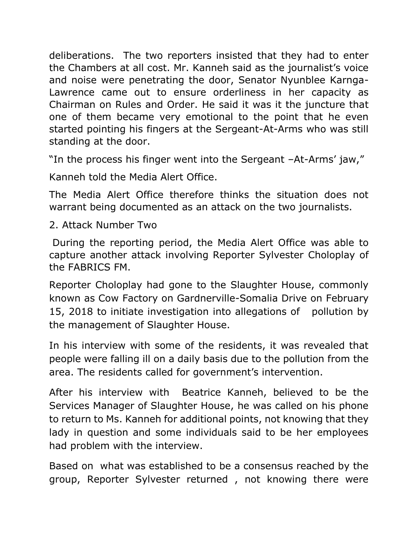deliberations. The two reporters insisted that they had to enter the Chambers at all cost. Mr. Kanneh said as the journalist's voice and noise were penetrating the door, Senator Nyunblee Karnga-Lawrence came out to ensure orderliness in her capacity as Chairman on Rules and Order. He said it was it the juncture that one of them became very emotional to the point that he even started pointing his fingers at the Sergeant-At-Arms who was still standing at the door.

"In the process his finger went into the Sergeant –At-Arms' jaw,"

Kanneh told the Media Alert Office.

The Media Alert Office therefore thinks the situation does not warrant being documented as an attack on the two journalists.

2. Attack Number Two

During the reporting period, the Media Alert Office was able to capture another attack involving Reporter Sylvester Choloplay of the FABRICS FM.

Reporter Choloplay had gone to the Slaughter House, commonly known as Cow Factory on Gardnerville-Somalia Drive on February 15, 2018 to initiate investigation into allegations of pollution by the management of Slaughter House.

In his interview with some of the residents, it was revealed that people were falling ill on a daily basis due to the pollution from the area. The residents called for government's intervention.

After his interview with Beatrice Kanneh, believed to be the Services Manager of Slaughter House, he was called on his phone to return to Ms. Kanneh for additional points, not knowing that they lady in question and some individuals said to be her employees had problem with the interview.

Based on what was established to be a consensus reached by the group, Reporter Sylvester returned , not knowing there were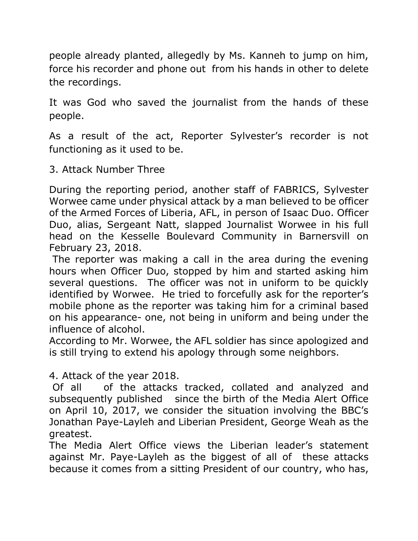people already planted, allegedly by Ms. Kanneh to jump on him, force his recorder and phone out from his hands in other to delete the recordings.

It was God who saved the journalist from the hands of these people.

As a result of the act, Reporter Sylvester's recorder is not functioning as it used to be.

3. Attack Number Three

During the reporting period, another staff of FABRICS, Sylvester Worwee came under physical attack by a man believed to be officer of the Armed Forces of Liberia, AFL, in person of Isaac Duo. Officer Duo, alias, Sergeant Natt, slapped Journalist Worwee in his full head on the Kesselle Boulevard Community in Barnersvill on February 23, 2018.

The reporter was making a call in the area during the evening hours when Officer Duo, stopped by him and started asking him several questions. The officer was not in uniform to be quickly identified by Worwee. He tried to forcefully ask for the reporter's mobile phone as the reporter was taking him for a criminal based on his appearance- one, not being in uniform and being under the influence of alcohol.

According to Mr. Worwee, the AFL soldier has since apologized and is still trying to extend his apology through some neighbors.

4. Attack of the year 2018.

Of all of the attacks tracked, collated and analyzed and subsequently published since the birth of the Media Alert Office on April 10, 2017, we consider the situation involving the BBC's Jonathan Paye-Layleh and Liberian President, George Weah as the greatest.

The Media Alert Office views the Liberian leader's statement against Mr. Paye-Layleh as the biggest of all of these attacks because it comes from a sitting President of our country, who has,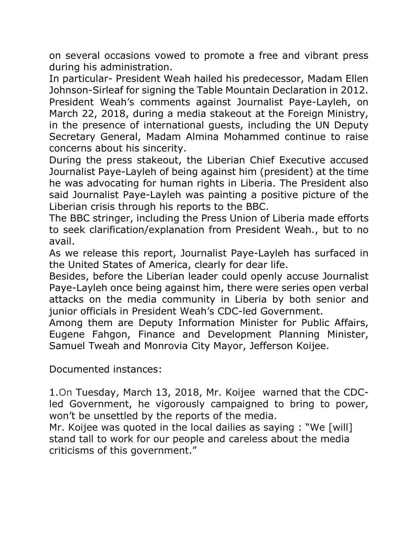on several occasions vowed to promote a free and vibrant press during his administration.

In particular- President Weah hailed his predecessor, Madam Ellen Johnson-Sirleaf for signing the Table Mountain Declaration in 2012. President Weah's comments against Journalist Paye-Layleh, on March 22, 2018, during a media stakeout at the Foreign Ministry, in the presence of international guests, including the UN Deputy Secretary General, Madam Almina Mohammed continue to raise concerns about his sincerity.

During the press stakeout, the Liberian Chief Executive accused Journalist Paye-Layleh of being against him (president) at the time he was advocating for human rights in Liberia. The President also said Journalist Paye-Layleh was painting a positive picture of the Liberian crisis through his reports to the BBC.

The BBC stringer, including the Press Union of Liberia made efforts to seek clarification/explanation from President Weah., but to no avail.

As we release this report, Journalist Paye-Layleh has surfaced in the United States of America, clearly for dear life.

Besides, before the Liberian leader could openly accuse Journalist Paye-Layleh once being against him, there were series open verbal attacks on the media community in Liberia by both senior and junior officials in President Weah's CDC-led Government.

Among them are Deputy Information Minister for Public Affairs, Eugene Fahgon, Finance and Development Planning Minister, Samuel Tweah and Monrovia City Mayor, Jefferson Koijee.

Documented instances:

1.On Tuesday, March 13, 2018, Mr. Koijee warned that the CDCled Government, he vigorously campaigned to bring to power, won't be unsettled by the reports of the media.

Mr. Koijee was quoted in the local dailies as saying : "We [will] stand tall to work for our people and careless about the media criticisms of this government."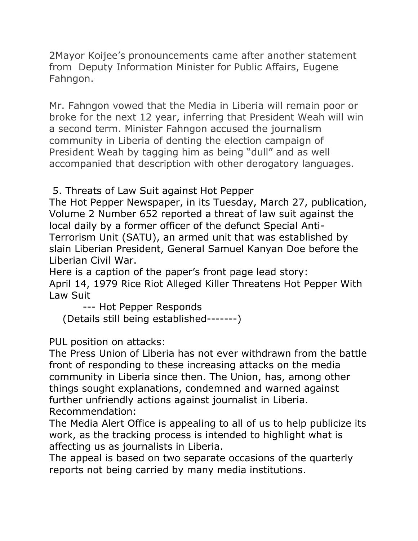2Mayor Koijee's pronouncements came after another statement from Deputy Information Minister for Public Affairs, Eugene Fahngon.

Mr. Fahngon vowed that the Media in Liberia will remain poor or broke for the next 12 year, inferring that President Weah will win a second term. Minister Fahngon accused the journalism community in Liberia of denting the election campaign of President Weah by tagging him as being "dull" and as well accompanied that description with other derogatory languages.

5. Threats of Law Suit against Hot Pepper

The Hot Pepper Newspaper, in its Tuesday, March 27, publication, Volume 2 Number 652 reported a threat of law suit against the local daily by a former officer of the defunct Special Anti-Terrorism Unit (SATU), an armed unit that was established by slain Liberian President, General Samuel Kanyan Doe before the Liberian Civil War.

Here is a caption of the paper's front page lead story: April 14, 1979 Rice Riot Alleged Killer Threatens Hot Pepper With Law Suit

--- Hot Pepper Responds

(Details still being established-------)

PUL position on attacks:

The Press Union of Liberia has not ever withdrawn from the battle front of responding to these increasing attacks on the media community in Liberia since then. The Union, has, among other things sought explanations, condemned and warned against further unfriendly actions against journalist in Liberia. Recommendation:

The Media Alert Office is appealing to all of us to help publicize its work, as the tracking process is intended to highlight what is affecting us as journalists in Liberia.

The appeal is based on two separate occasions of the quarterly reports not being carried by many media institutions.